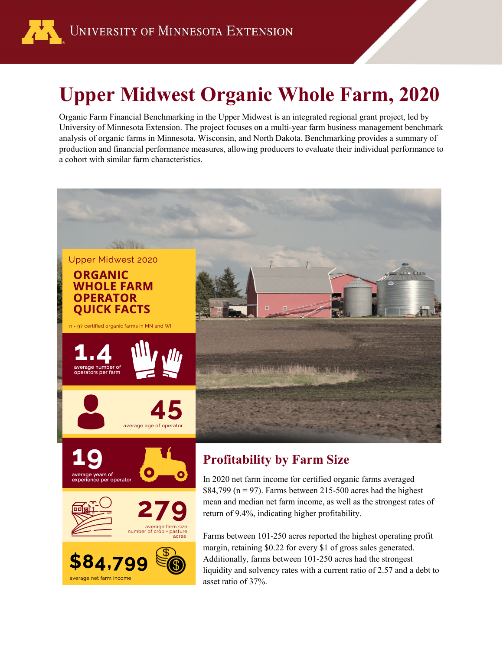

## **Upper Midwest Organic Whole Farm, 2020**

Organic Farm Financial Benchmarking in the Upper Midwest is an integrated regional grant project, led by University of Minnesota Extension. The project focuses on a multi-year farm business management benchmark analysis of organic farms in Minnesota, Wisconsin, and North Dakota. Benchmarking provides a summary of production and financial performance measures, allowing producers to evaluate their individual performance to a cohort with similar farm characteristics.

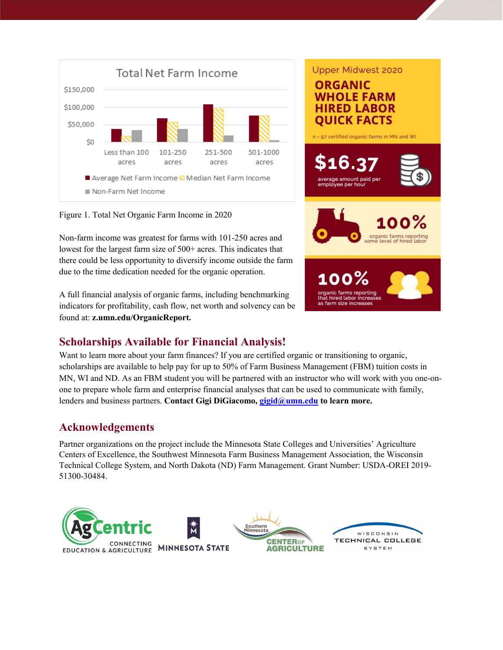

Figure 1. Total Net Organic Farm Income in 2020

Non-farm income was greatest for farms with 101-250 acres and lowest for the largest farm size of 500+ acres. This indicates that there could be less opportunity to diversify income outside the farm due to the time dedication needed for the organic operation.

A full financial analysis of organic farms, including benchmarking indicators for profitability, cash flow, net worth and solvency can be found at: **z.umn.edu/OrganicReport.**



Want to learn more about your farm finances? If you are certified organic or transitioning to organic, scholarships are available to help pay for up to 50% of Farm Business Management (FBM) tuition costs in MN, WI and ND. As an FBM student you will be partnered with an instructor who will work with you one-onone to prepare whole farm and enterprise financial analyses that can be used to communicate with family, lenders and business partners. **Contact Gigi DiGiacomo, [gigid@umn.edu](mailto:gigid@umn.edu) to learn more.**

## **Acknowledgements**

Partner organizations on the project include the Minnesota State Colleges and Universities' Agriculture Centers of Excellence, the Southwest Minnesota Farm Business Management Association, the Wisconsin Technical College System, and North Dakota (ND) Farm Management. Grant Number: USDA-OREI 2019- 51300-30484.